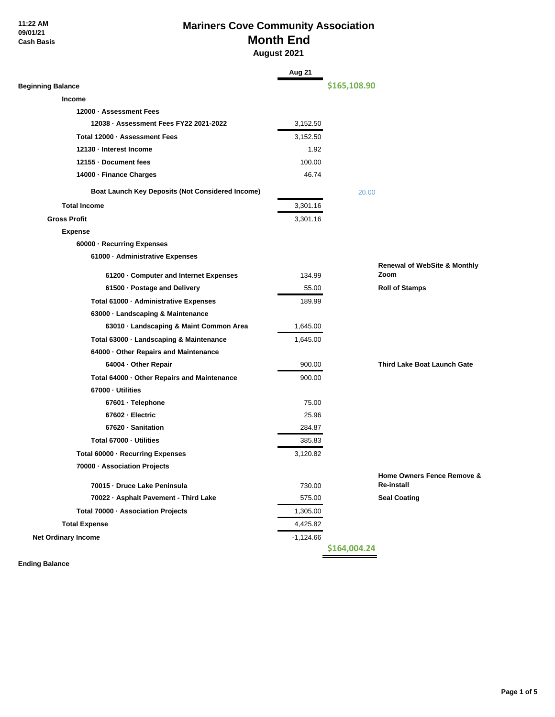# **Mariners Cove Community Association Month End August 2021**

|                                                  | Aug 21      |              |                                          |
|--------------------------------------------------|-------------|--------------|------------------------------------------|
| <b>Beginning Balance</b>                         |             | \$165,108.90 |                                          |
| Income                                           |             |              |                                          |
| 12000 · Assessment Fees                          |             |              |                                          |
| 12038 · Assessment Fees FY22 2021-2022           | 3,152.50    |              |                                          |
| Total 12000 · Assessment Fees                    | 3,152.50    |              |                                          |
| 12130 - Interest Income                          | 1.92        |              |                                          |
| 12155 - Document fees                            | 100.00      |              |                                          |
| 14000 · Finance Charges                          | 46.74       |              |                                          |
| Boat Launch Key Deposits (Not Considered Income) |             | 20.00        |                                          |
| <b>Total Income</b>                              | 3,301.16    |              |                                          |
| <b>Gross Profit</b>                              | 3,301.16    |              |                                          |
| <b>Expense</b>                                   |             |              |                                          |
| 60000 · Recurring Expenses                       |             |              |                                          |
| 61000 · Administrative Expenses                  |             |              |                                          |
|                                                  |             |              | <b>Renewal of WebSite &amp; Monthly</b>  |
| 61200 · Computer and Internet Expenses           | 134.99      |              | Zoom                                     |
| 61500 · Postage and Delivery                     | 55.00       |              | <b>Roll of Stamps</b>                    |
| Total 61000 · Administrative Expenses            | 189.99      |              |                                          |
| 63000 · Landscaping & Maintenance                |             |              |                                          |
| 63010 · Landscaping & Maint Common Area          | 1,645.00    |              |                                          |
| Total 63000 · Landscaping & Maintenance          | 1,645.00    |              |                                          |
| 64000 · Other Repairs and Maintenance            |             |              |                                          |
| 64004 · Other Repair                             | 900.00      |              | Third Lake Boat Launch Gate              |
| Total 64000 · Other Repairs and Maintenance      | 900.00      |              |                                          |
| 67000 · Utilities                                |             |              |                                          |
| 67601 · Telephone                                | 75.00       |              |                                          |
| 67602 - Electric                                 | 25.96       |              |                                          |
| 67620 · Sanitation                               | 284.87      |              |                                          |
| Total 67000 - Utilities                          | 385.83      |              |                                          |
| Total 60000 · Recurring Expenses                 | 3,120.82    |              |                                          |
| 70000 · Association Projects                     |             |              |                                          |
| 70015 - Druce Lake Peninsula                     | 730.00      |              | Home Owners Fence Remove &<br>Re-install |
| 70022 · Asphalt Pavement - Third Lake            | 575.00      |              | <b>Seal Coating</b>                      |
| Total 70000 · Association Projects               | 1,305.00    |              |                                          |
| <b>Total Expense</b>                             | 4,425.82    |              |                                          |
| <b>Net Ordinary Income</b>                       | $-1,124.66$ |              |                                          |
|                                                  |             | \$164,004.24 |                                          |

**Ending Balance**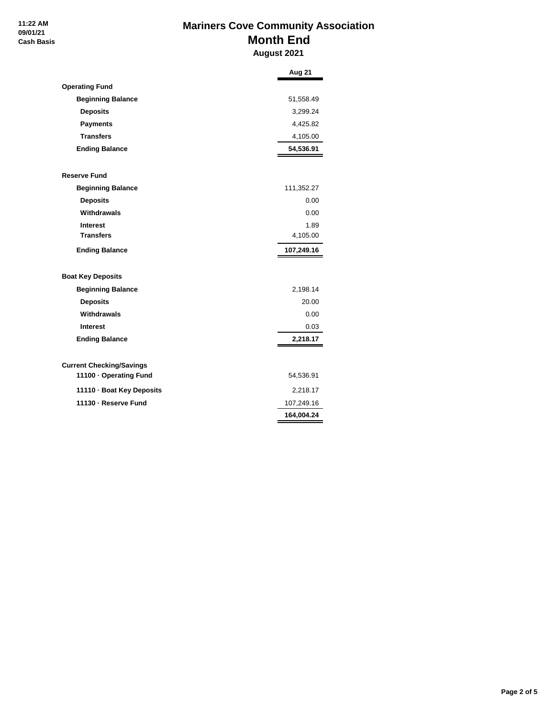# **Mariners Cove Community Association Month End August 2021**

|                                 | Aug 21     |
|---------------------------------|------------|
| <b>Operating Fund</b>           |            |
| <b>Beginning Balance</b>        | 51,558.49  |
| <b>Deposits</b>                 | 3,299.24   |
| <b>Payments</b>                 | 4,425.82   |
| <b>Transfers</b>                | 4,105.00   |
| <b>Ending Balance</b>           | 54,536.91  |
| <b>Reserve Fund</b>             |            |
| <b>Beginning Balance</b>        | 111,352.27 |
| <b>Deposits</b>                 | 0.00       |
| Withdrawals                     | 0.00       |
| <b>Interest</b>                 | 1.89       |
| <b>Transfers</b>                | 4,105.00   |
| <b>Ending Balance</b>           | 107,249.16 |
| <b>Boat Key Deposits</b>        |            |
| <b>Beginning Balance</b>        | 2,198.14   |
| <b>Deposits</b>                 | 20.00      |
| Withdrawals                     | 0.00       |
| <b>Interest</b>                 | 0.03       |
| <b>Ending Balance</b>           | 2,218.17   |
| <b>Current Checking/Savings</b> |            |
| 11100 · Operating Fund          | 54,536.91  |
| 11110 · Boat Key Deposits       | 2,218.17   |
| 11130 - Reserve Fund            | 107,249.16 |
|                                 | 164,004.24 |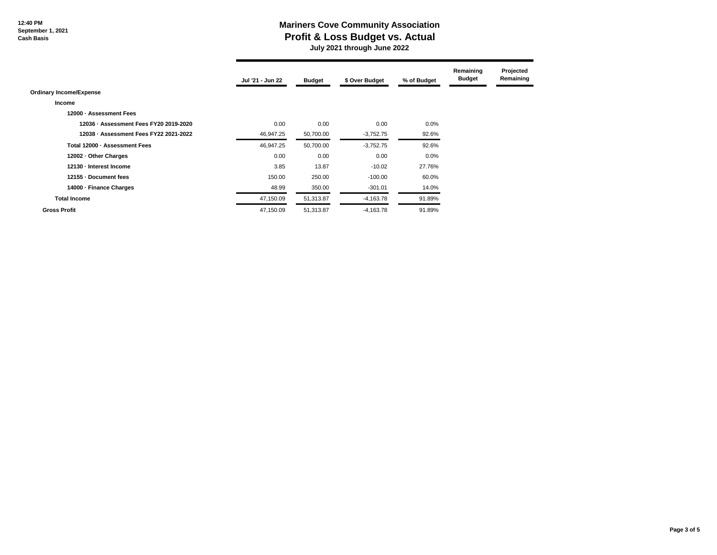## **Mariners Cove Community Association Profit & Loss Budget vs. Actual July 2021 through June 2022**

|                                        | Jul '21 - Jun 22 | <b>Budget</b> | \$ Over Budget | % of Budget | Remaining<br><b>Budget</b> | Projected<br>Remaining |
|----------------------------------------|------------------|---------------|----------------|-------------|----------------------------|------------------------|
| <b>Ordinary Income/Expense</b>         |                  |               |                |             |                            |                        |
| Income                                 |                  |               |                |             |                            |                        |
| 12000 - Assessment Fees                |                  |               |                |             |                            |                        |
| 12036 · Assessment Fees FY20 2019-2020 | 0.00             | 0.00          | 0.00           | 0.0%        |                            |                        |
| 12038 - Assessment Fees FY22 2021-2022 | 46,947.25        | 50,700.00     | $-3,752.75$    | 92.6%       |                            |                        |
| Total 12000 - Assessment Fees          | 46,947.25        | 50,700.00     | $-3,752.75$    | 92.6%       |                            |                        |
| 12002 - Other Charges                  | 0.00             | 0.00          | 0.00           | 0.0%        |                            |                        |
| 12130 - Interest Income                | 3.85             | 13.87         | $-10.02$       | 27.76%      |                            |                        |
| 12155 - Document fees                  | 150.00           | 250.00        | $-100.00$      | 60.0%       |                            |                        |
| 14000 - Finance Charges                | 48.99            | 350.00        | $-301.01$      | 14.0%       |                            |                        |
| <b>Total Income</b>                    | 47,150.09        | 51,313.87     | $-4,163.78$    | 91.89%      |                            |                        |
| <b>Gross Profit</b>                    | 47,150.09        | 51,313.87     | $-4,163.78$    | 91.89%      |                            |                        |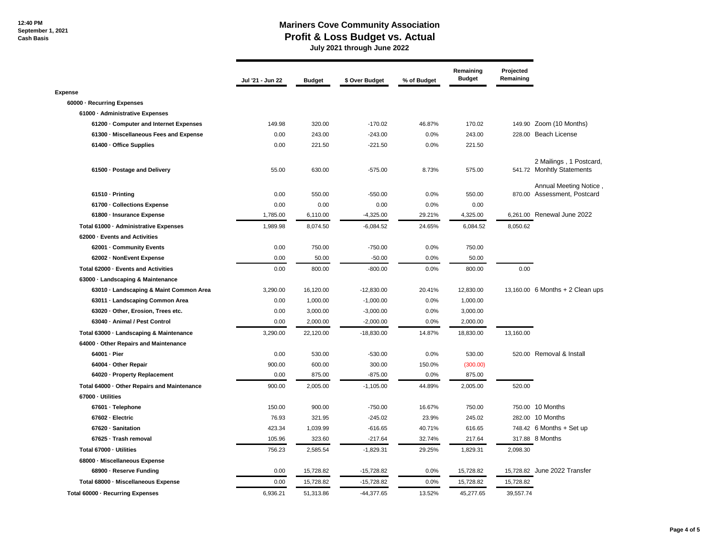### **Mariners Cove Community Association Profit & Loss Budget vs. Actual July 2021 through June 2022**

**Jul '21 - Jun 22 Budget \$ Over Budget % of Budget Remaining Budget Projected Remaining Expense 60000 · Recurring Expenses 61000 · Administrative Expenses 61200 · Computer and Internet Expenses** 149.98 320.00 -170.02 46.87% 170.02 149.90 Zoom (10 Months) **61300 · Miscellaneous Fees and Expense** 0.00 243.00 -243.00 0.0% 243.00 228.00 Beach License **61400 · Office Supplies** 0.00 221.50 -221.50 0.0% 221.50 **61500 · Postage and Delivery 19th 10 · CONSUMING 100 · SOCONSUMING 100 · 575.00** · 575.00 · 575.00 · 575.00 **61510 · Printing** 0.00 550.00 -550.00 0.0% 550.00 870.00 **61700 · Collections Expense 1.000 0.00 0.00 0.00 0.00 0.00 0.00 0.00 0.00 0.00 61800 · Insurance Expense** 1,785.00 6,110.00 -4,325.00 29.21% 4,325.00 6,261.00 Renewal June 2022 **Total 61000 · Administrative Expenses** 1,989.98 8,074.50 -6,084.52 24.65% 6,084.52 8,050.62 **62000 · Events and Activities 62001 · Community Events 1750.00 1750.00 1750.00 1750.00 1750.00 1750.00 750.00 750.00 62002 · NonEvent Expense** 0.00 50.00 -50.00 0.0% 50.00 **Total 62000 · Events and Activities 0.00** 0.00 **800.00** -800.00 0.0% 800.00 0.00 0.00 **63000 · Landscaping & Maintenance 63010 · Landscaping & Maint Common Area** 3,290.00 16,120.00 -12,830.00 20.41% 12,830.00 13,160.00 6 Months + 2 Clean ups **63011 · Landscaping Common Area 2000 1,000.00 1,000.00 1,000.00 -1,000.00 0.0% 1,000.00 63020 · Other, Erosion, Trees etc. 1.000 1.000 1.000 1.000 1.000 1.000 1.000 1.000 1.000 1.000 1.000 1.000 1.000 63040 · Animal / Pest Control** 0.00 2,000.00 -2,000.00 0.0% 2,000.00 **Total 63000 · Landscaping & Maintenance** 3,290.00 22,120.00 -18,830.00 14.87% 18,830.00 13,160.00 **64000 · Other Repairs and Maintenance 64001 · Pier** 0.00 530.00 -530.00 0.0% 530.00 520.00 Removal & Install **64004 · Other Repair** 900.00 600.00 300.00 150.0% (300.00) **64020 · Property Replacement** 1 1 1 200 0.00 875.00 -875.00 -875.00 0.0% 875.00 **Total 64000 · Other Repairs and Maintenance** 900.00 2,005.00 -1,105.00 44.89% 2,005.00 520.00 **67000 · Utilities 67601 · Telephone** 150.00 900.00 -750.00 16.67% 750.00 750.00 10 Months **67602 · Electric** 76.93 321.95 -245.02 23.9% 245.02 282.00 10 Months **67620 · Sanitation 100 · 123.34** 1,039.99 · 616.65 **40.71% 616.65** 748.42 6 Months + Set up **67625 · Trash removal** 105.96 323.60 -217.64 32.74% 217.64 317.88 8 Months **Total 67000 · Utilities** 756.23 2,585.54 -1,829.31 29.25% 1,829.31 2,098.30 **68000 · Miscellaneous Expense 68900 · Reserve Funding** 0.00 15,728.82 -15,728.82 0.0% 15,728.82 15,728.82 June 2022 Transfer **Total 68000 · Miscellaneous Expense** 0.00 15,728.82 -15,728.82 0.0% 15,728.82 15,728.82 **Total 60000 · Recurring Expenses**  $6,936.21$   $51,313.86$   $-44,377.65$   $13.52\%$   $45,277.65$   $39,557.74$ 2 Mailings , 1 Postcard, 541.72 Monhtly Statements Annual Meeting Notice , 870.00 Assessment, Postcard